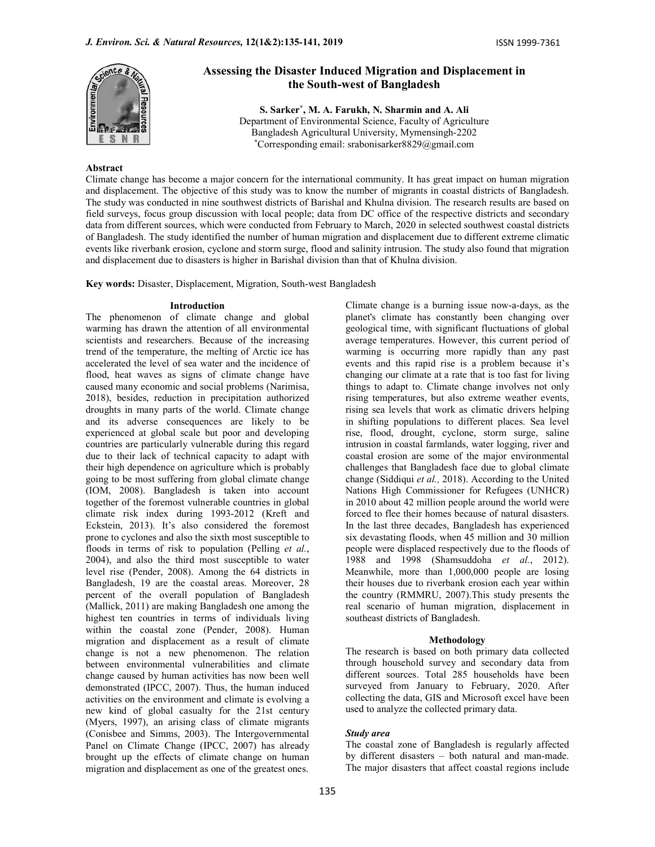

# Assessing the Disaster Induced Migration and Displacement in the South-west of Bangladesh

S. Sarker\* , M. A. Farukh, N. Sharmin and A. Ali Department of Environmental Science, Faculty of Agriculture Bangladesh Agricultural University, Mymensingh-2202 \*Corresponding email: srabonisarker8829@gmail.com

# Abstract

Climate change has become a major concern for the international community. It has great impact on human migration and displacement. The objective of this study was to know the number of migrants in coastal districts of Bangladesh. The study was conducted in nine southwest districts of Barishal and Khulna division. The research results are based on field surveys, focus group discussion with local people; data from DC office of the respective districts and secondary data from different sources, which were conducted from February to March, 2020 in selected southwest coastal districts of Bangladesh. The study identified the number of human migration and displacement due to different extreme climatic events like riverbank erosion, cyclone and storm surge, flood and salinity intrusion. The study also found that migration and displacement due to disasters is higher in Barishal division than that of Khulna division.

Key words: Disaster, Displacement, Migration, South-west Bangladesh

#### Introduction

The phenomenon of climate change and global warming has drawn the attention of all environmental scientists and researchers. Because of the increasing trend of the temperature, the melting of Arctic ice has accelerated the level of sea water and the incidence of flood, heat waves as signs of climate change have caused many economic and social problems (Narimisa, 2018), besides, reduction in precipitation authorized droughts in many parts of the world. Climate change and its adverse consequences are likely to be experienced at global scale but poor and developing countries are particularly vulnerable during this regard due to their lack of technical capacity to adapt with their high dependence on agriculture which is probably going to be most suffering from global climate change (IOM, 2008). Bangladesh is taken into account together of the foremost vulnerable countries in global climate risk index during 1993-2012 (Kreft and Eckstein, 2013). It's also considered the foremost prone to cyclones and also the sixth most susceptible to floods in terms of risk to population (Pelling *et al.*, 2004), and also the third most susceptible to water level rise (Pender, 2008). Among the 64 districts in Bangladesh, 19 are the coastal areas. Moreover, 28 percent of the overall population of Bangladesh (Mallick, 2011) are making Bangladesh one among the highest ten countries in terms of individuals living within the coastal zone (Pender, 2008). Human migration and displacement as a result of climate change is not a new phenomenon. The relation between environmental vulnerabilities and climate change caused by human activities has now been well demonstrated (IPCC, 2007). Thus, the human induced activities on the environment and climate is evolving a new kind of global casualty for the 21st century (Myers, 1997), an arising class of climate migrants (Conisbee and Simms, 2003). The Intergovernmental Panel on Climate Change (IPCC, 2007) has already brought up the effects of climate change on human migration and displacement as one of the greatest ones.

Climate change is a burning issue now-a-days, as the planet's climate has constantly been changing over geological time, with significant fluctuations of global average temperatures. However, this current period of warming is occurring more rapidly than any past events and this rapid rise is a problem because it's changing our climate at a rate that is too fast for living things to adapt to. Climate change involves not only rising temperatures, but also extreme weather events, rising sea levels that work as climatic drivers helping in shifting populations to different places. Sea level rise, flood, drought, cyclone, storm surge, saline intrusion in coastal farmlands, water logging, river and coastal erosion are some of the major environmental challenges that Bangladesh face due to global climate change (Siddiqui et al., 2018). According to the United Nations High Commissioner for Refugees (UNHCR) in 2010 about 42 million people around the world were forced to flee their homes because of natural disasters. In the last three decades, Bangladesh has experienced six devastating floods, when 45 million and 30 million people were displaced respectively due to the floods of 1988 and 1998 (Shamsuddoha et al., 2012). Meanwhile, more than 1,000,000 people are losing their houses due to riverbank erosion each year within the country (RMMRU, 2007).This study presents the real scenario of human migration, displacement in southeast districts of Bangladesh.

## Methodology

The research is based on both primary data collected through household survey and secondary data from different sources. Total 285 households have been surveyed from January to February, 2020. After collecting the data, GIS and Microsoft excel have been used to analyze the collected primary data.

## Study area

The coastal zone of Bangladesh is regularly affected by different disasters – both natural and man-made. The major disasters that affect coastal regions include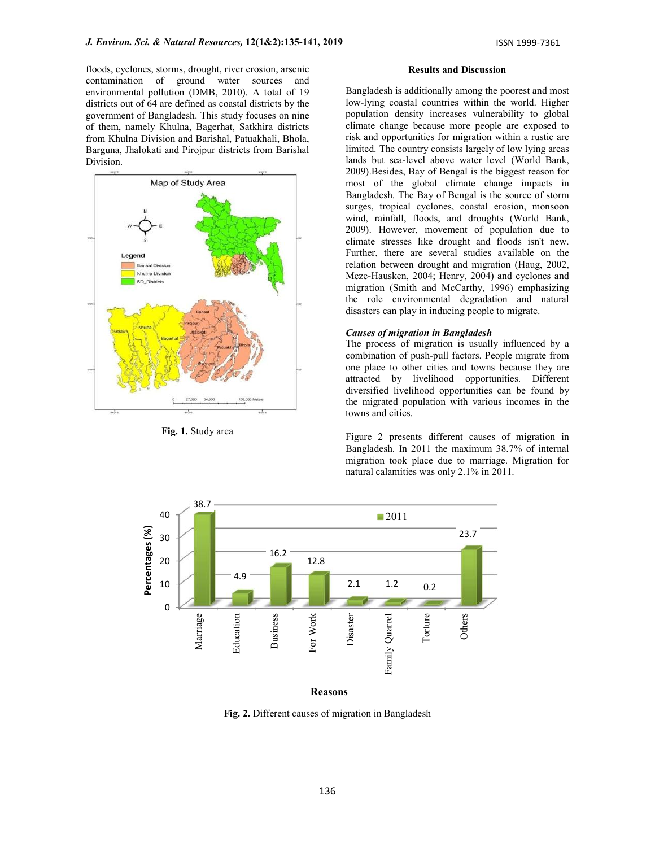floods, cyclones, storms, drought, river erosion, arsenic contamination of ground water sources and environmental pollution (DMB, 2010). A total of 19 districts out of 64 are defined as coastal districts by the government of Bangladesh. This study focuses on nine of them, namely Khulna, Bagerhat, Satkhira districts from Khulna Division and Barishal, Patuakhali, Bhola, Barguna, Jhalokati and Pirojpur districts from Barishal Division.



Fig. 1. Study area

#### Results and Discussion

Bangladesh is additionally among the poorest and most low-lying coastal countries within the world. Higher population density increases vulnerability to global climate change because more people are exposed to risk and opportunities for migration within a rustic are limited. The country consists largely of low lying areas lands but sea-level above water level (World Bank, 2009).Besides, Bay of Bengal is the biggest reason for most of the global climate change impacts in Bangladesh. The Bay of Bengal is the source of storm surges, tropical cyclones, coastal erosion, monsoon wind, rainfall, floods, and droughts (World Bank, 2009). However, movement of population due to climate stresses like drought and floods isn't new. Further, there are several studies available on the relation between drought and migration (Haug, 2002, Meze-Hausken, 2004; Henry, 2004) and cyclones and migration (Smith and McCarthy, 1996) emphasizing the role environmental degradation and natural disasters can play in inducing people to migrate.

## Causes of migration in Bangladesh

The process of migration is usually influenced by a combination of push-pull factors. People migrate from one place to other cities and towns because they are attracted by livelihood opportunities. Different diversified livelihood opportunities can be found by the migrated population with various incomes in the towns and cities.

Figure 2 presents different causes of migration in Bangladesh. In 2011 the maximum 38.7% of internal migration took place due to marriage. Migration for natural calamities was only 2.1% in 2011.



Reasons

Fig. 2. Different causes of migration in Bangladesh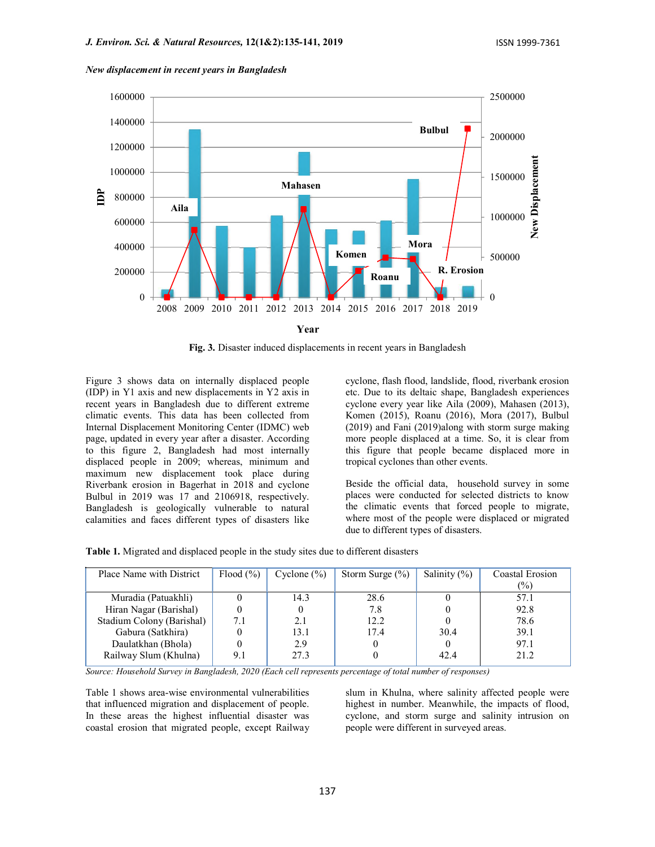

New displacement in recent years in Bangladesh

Fig. 3. Disaster induced displacements in recent years in Bangladesh

Figure 3 shows data on internally displaced people (IDP) in Y1 axis and new displacements in Y2 axis in recent years in Bangladesh due to different extreme climatic events. This data has been collected from Internal Displacement Monitoring Center (IDMC) web page, updated in every year after a disaster. According to this figure 2, Bangladesh had most internally displaced people in 2009; whereas, minimum and maximum new displacement took place during Riverbank erosion in Bagerhat in 2018 and cyclone Bulbul in 2019 was 17 and 2106918, respectively. Bangladesh is geologically vulnerable to natural calamities and faces different types of disasters like

cyclone, flash flood, landslide, flood, riverbank erosion etc. Due to its deltaic shape, Bangladesh experiences cyclone every year like Aila (2009), Mahasen (2013), Komen (2015), Roanu (2016), Mora (2017), Bulbul (2019) and Fani (2019)along with storm surge making more people displaced at a time. So, it is clear from this figure that people became displaced more in tropical cyclones than other events.

Beside the official data, household survey in some places were conducted for selected districts to know the climatic events that forced people to migrate, where most of the people were displaced or migrated due to different types of disasters.

|  |  | <b>Table 1.</b> Migrated and displaced people in the study sites due to different disasters |  |
|--|--|---------------------------------------------------------------------------------------------|--|
|--|--|---------------------------------------------------------------------------------------------|--|

| Place Name with District  | Flood $(\% )$ | Cyclone $(\% )$ | Storm Surge $(\%)$ | Salinity $(\%)$ | Coastal Erosion |
|---------------------------|---------------|-----------------|--------------------|-----------------|-----------------|
|                           |               |                 |                    |                 | $\frac{1}{2}$   |
| Muradia (Patuakhli)       |               | 14.3            | 28.6               |                 | 57.1            |
| Hiran Nagar (Barishal)    |               |                 | 7.8                |                 | 92.8            |
| Stadium Colony (Barishal) | 7.1           | 2.1             | 12.2               |                 | 78.6            |
| Gabura (Satkhira)         |               | 13.1            | 17.4               | 30.4            | 39.1            |
| Daulatkhan (Bhola)        |               | 2.9             |                    |                 | 97.1            |
| Railway Slum (Khulna)     | 9.1           | 27.3            |                    | 42.4            | 21.2            |

Source: Household Survey in Bangladesh, 2020 (Each cell represents percentage of total number of responses)

Table 1 shows area-wise environmental vulnerabilities that influenced migration and displacement of people. In these areas the highest influential disaster was coastal erosion that migrated people, except Railway slum in Khulna, where salinity affected people were highest in number. Meanwhile, the impacts of flood, cyclone, and storm surge and salinity intrusion on people were different in surveyed areas.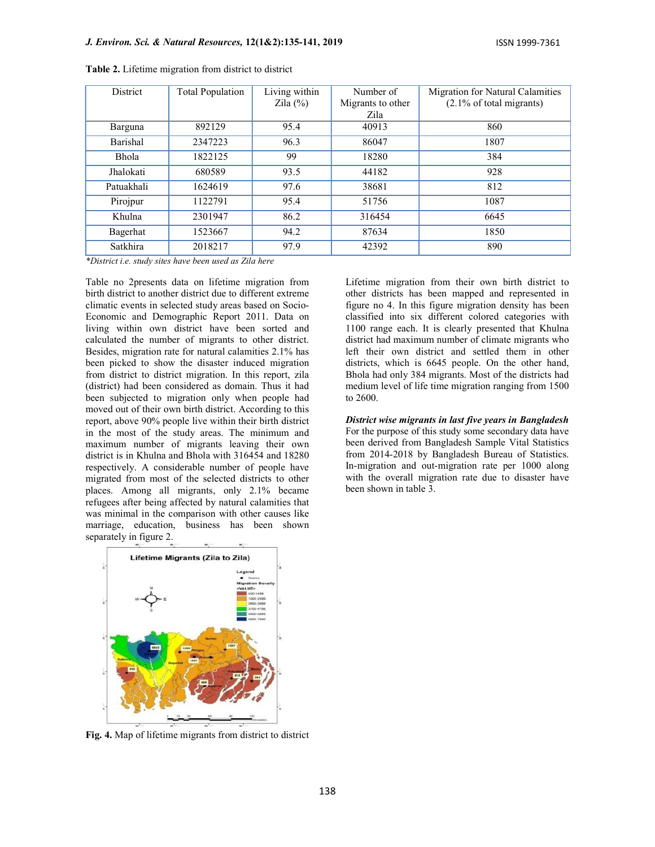| <b>District</b> | <b>Total Population</b> | Living within | Number of         | Migration for Natural Calamities |  |  |
|-----------------|-------------------------|---------------|-------------------|----------------------------------|--|--|
|                 |                         | Zila $(\%)$   | Migrants to other | (2.1% of total migrants)         |  |  |
|                 |                         |               | Zila              |                                  |  |  |
| Barguna         | 892129                  | 95.4          | 40913             | 860                              |  |  |
| Barishal        | 2347223                 | 96.3          | 86047             | 1807                             |  |  |
| <b>Bhola</b>    | 1822125                 | 99            | 18280             | 384                              |  |  |
| Jhalokati       | 680589                  | 93.5          | 44182             | 928                              |  |  |
| Patuakhali      | 1624619                 | 97.6          | 38681             | 812                              |  |  |
| Pirojpur        | 1122791                 | 95.4          | 51756             | 1087                             |  |  |
| Khulna          | 2301947                 | 86.2          | 316454            | 6645                             |  |  |
| Bagerhat        | 1523667                 | 94.2          | 87634             | 1850                             |  |  |
| Satkhira        | 2018217                 | 97.9          | 42392             | 890                              |  |  |

Table 2. Lifetime migration from district to district

\*District i.e. study sites have been used as Zila here

Table no 2presents data on lifetime migration from birth district to another district due to different extreme climatic events in selected study areas based on Socio-Economic and Demographic Report 2011. Data on living within own district have been sorted and calculated the number of migrants to other district. Besides, migration rate for natural calamities 2.1% has been picked to show the disaster induced migration from district to district migration. In this report, zila (district) had been considered as domain. Thus it had been subjected to migration only when people had moved out of their own birth district. According to this report, above 90% people live within their birth district in the most of the study areas. The minimum and maximum number of migrants leaving their own district is in Khulna and Bhola with 316454 and 18280 respectively. A considerable number of people have migrated from most of the selected districts to other places. Among all migrants, only 2.1% became refugees after being affected by natural calamities that was minimal in the comparison with other causes like marriage, education, business has been shown separately in figure 2.

Lifetime migration from their own birth district to other districts has been mapped and represented in figure no 4. In this figure migration density has been classified into six different colored categories with 1100 range each. It is clearly presented that Khulna district had maximum number of climate migrants who left their own district and settled them in other districts, which is 6645 people. On the other hand, Bhola had only 384 migrants. Most of the districts had medium level of life time migration ranging from 1500 to 2600.

District wise migrants in last five years in Bangladesh

For the purpose of this study some secondary data have been derived from Bangladesh Sample Vital Statistics from 2014-2018 by Bangladesh Bureau of Statistics. In-migration and out-migration rate per 1000 along with the overall migration rate due to disaster have been shown in table 3.



Fig. 4. Map of lifetime migrants from district to district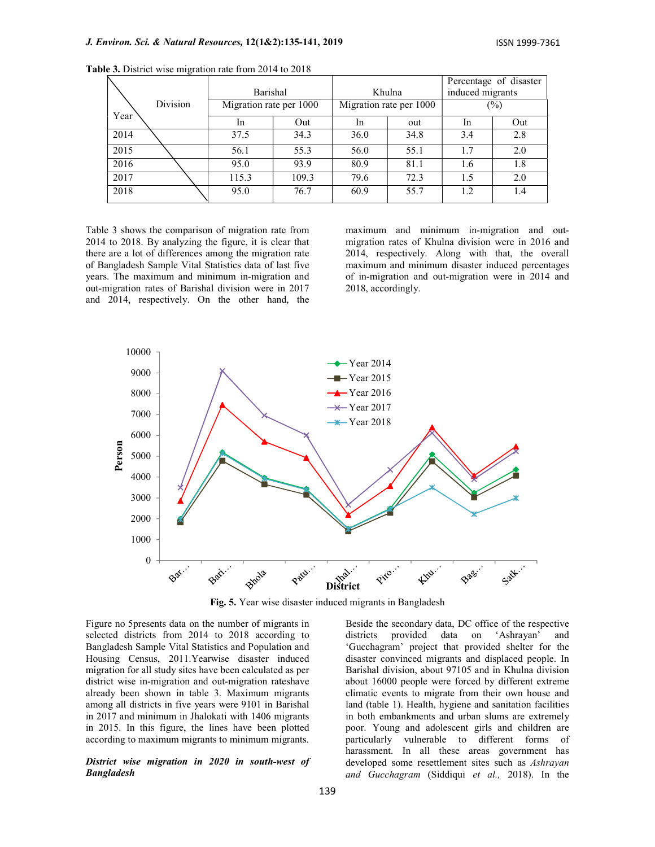|          |      |  |                                     |       |                                   |      |                            | Percentage of disaster |
|----------|------|--|-------------------------------------|-------|-----------------------------------|------|----------------------------|------------------------|
| Division |      |  | Barishal<br>Migration rate per 1000 |       | Khulna<br>Migration rate per 1000 |      | induced migrants<br>$(\%)$ |                        |
|          |      |  |                                     |       |                                   |      |                            |                        |
|          | Year |  | <sub>1</sub> n                      | Out   | <sub>In</sub>                     | out  | <sub>In</sub>              | Out                    |
|          | 2014 |  | 37.5                                | 34.3  | 36.0                              | 34.8 | 3.4                        | 2.8                    |
|          | 2015 |  | 56.1                                | 55.3  | 56.0                              | 55.1 | 1.7                        | 2.0                    |
|          | 2016 |  | 95.0                                | 93.9  | 80.9                              | 81.1 | 1.6                        | 1.8                    |
|          | 2017 |  | 115.3                               | 109.3 | 79.6                              | 72.3 | 1.5                        | 2.0                    |
|          | 2018 |  | 95.0                                | 76.7  | 60.9                              | 55.7 | 1.2                        | 1.4                    |
|          |      |  |                                     |       |                                   |      |                            |                        |

Table 3. District wise migration rate from 2014 to 2018

Table 3 shows the comparison of migration rate from 2014 to 2018. By analyzing the figure, it is clear that there are a lot of differences among the migration rate of Bangladesh Sample Vital Statistics data of last five years. The maximum and minimum in-migration and out-migration rates of Barishal division were in 2017 and 2014, respectively. On the other hand, the

maximum and minimum in-migration and outmigration rates of Khulna division were in 2016 and 2014, respectively. Along with that, the overall maximum and minimum disaster induced percentages of in-migration and out-migration were in 2014 and 2018, accordingly.



Fig. 5. Year wise disaster induced migrants in Bangladesh

Figure no 5presents data on the number of migrants in selected districts from 2014 to 2018 according to districts Bangladesh Sample Vital Statistics and Population and Housing Census, 2011.Yearwise disaster induced migration for all study sites have been calculated as per district wise in-migration and out-migration rateshave already been shown in table 3. Maximum migrants among all districts in five years were 9101 in Barishal in 2017 and minimum in Jhalokati with 1406 migrants in 2015. In this figure, the lines have been plotted according to maximum migrants to minimum migrants.

#### District wise migration in 2020 in south-west of Bangladesh

Beside the secondary data, DC office of the respective provided data on 'Ashrayan' and 'Gucchagram' project that provided shelter for the disaster convinced migrants and displaced people. In Barishal division, about 97105 and in Khulna division about 16000 people were forced by different extreme climatic events to migrate from their own house and land (table 1). Health, hygiene and sanitation facilities in both embankments and urban slums are extremely poor. Young and adolescent girls and children are particularly vulnerable to different forms of harassment. In all these areas government has developed some resettlement sites such as Ashrayan and Gucchagram (Siddiqui et al., 2018). In the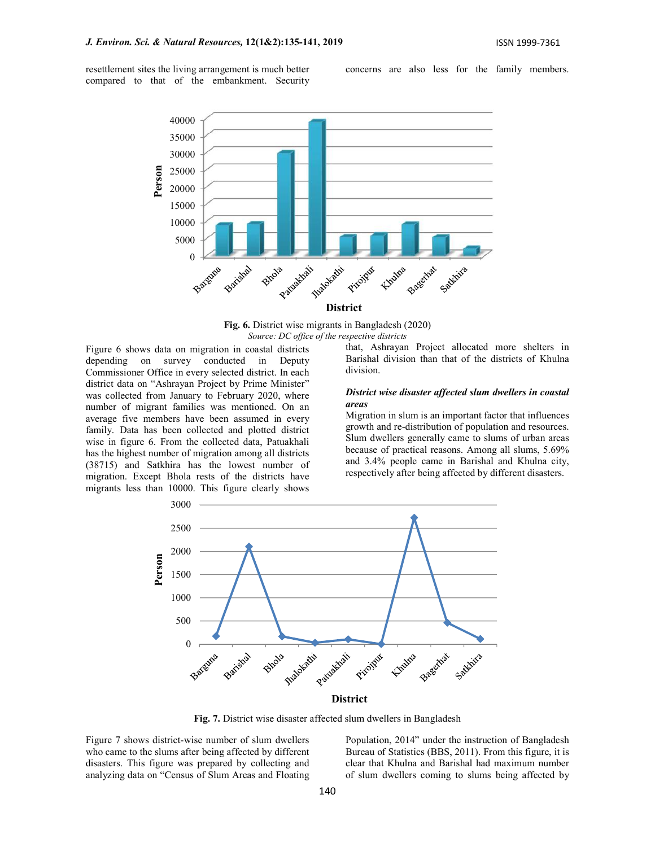resettlement sites the living arrangement is much better compared to that of the embankment. Security

concerns are also less for the family members.



Fig. 6. District wise migrants in Bangladesh (2020) Source: DC office of the respective districts

Figure 6 shows data on migration in coastal districts depending on survey conducted in Deputy Commissioner Office in every selected district. In each district data on "Ashrayan Project by Prime Minister" was collected from January to February 2020, where **Distri**nguishment families was martianed. On an **areas** number of migrant families was mentioned. On an average five members have been assumed in every family. Data has been collected and plotted district wise in figure 6. From the collected data, Patuakhali has the highest number of migration among all districts (38715) and Satkhira has the lowest number of migration. Except Bhola rests of the districts have migrants less than 10000. This figure clearly shows

that, Ashrayan Project allocated more shelters in Barishal division than that of the districts of Khulna division.

# District wise disaster affected slum dwellers in coastal

Migration in slum is an important factor that influences growth and re-distribution of population and resources. Slum dwellers generally came to slums of urban areas because of practical reasons. Among all slums, 5.69% and 3.4% people came in Barishal and Khulna city, respectively after being affected by different disasters.



Fig. 7. District wise disaster affected slum dwellers in Bangladesh

Figure 7 shows district-wise number of slum dwellers who came to the slums after being affected by different disasters. This figure was prepared by collecting and analyzing data on "Census of Slum Areas and Floating Population, 2014" under the instruction of Bangladesh Bureau of Statistics (BBS, 2011). From this figure, it is clear that Khulna and Barishal had maximum number of slum dwellers coming to slums being affected by